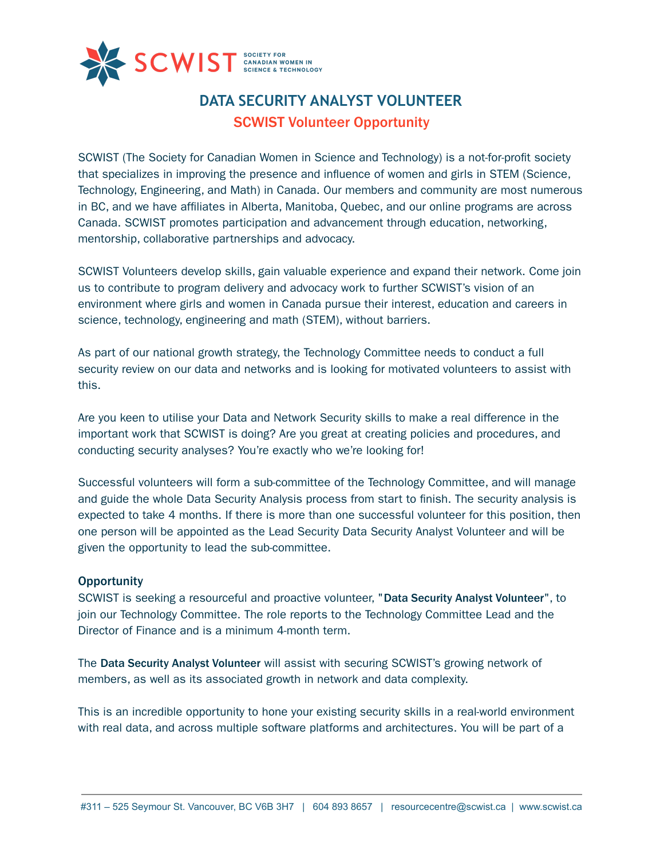

# **DATA SECURITY ANALYST VOLUNTEER** SCWIST Volunteer Opportunity

SCWIST (The Society for Canadian Women in Science and Technology) is a not-for-profit society that specializes in improving the presence and influence of women and girls in STEM (Science, Technology, Engineering, and Math) in Canada. Our members and community are most numerous in BC, and we have affiliates in Alberta, Manitoba, Quebec, and our online programs are across Canada. SCWIST promotes participation and advancement through education, networking, mentorship, collaborative partnerships and advocacy.

SCWIST Volunteers develop skills, gain valuable experience and expand their network. Come join us to contribute to program delivery and advocacy work to further SCWIST's vision of an environment where girls and women in Canada pursue their interest, education and careers in science, technology, engineering and math (STEM), without barriers.

As part of our national growth strategy, the Technology Committee needs to conduct a full security review on our data and networks and is looking for motivated volunteers to assist with this.

Are you keen to utilise your Data and Network Security skills to make a real difference in the important work that SCWIST is doing? Are you great at creating policies and procedures, and conducting security analyses? You're exactly who we're looking for!

Successful volunteers will form a sub-committee of the Technology Committee, and will manage and guide the whole Data Security Analysis process from start to finish. The security analysis is expected to take 4 months. If there is more than one successful volunteer for this position, then one person will be appointed as the Lead Security Data Security Analyst Volunteer and will be given the opportunity to lead the sub-committee.

## **Opportunity**

SCWIST is seeking a resourceful and proactive volunteer, "Data Security Analyst Volunteer", to join our Technology Committee. The role reports to the Technology Committee Lead and the Director of Finance and is a minimum 4-month term.

The Data Security Analyst Volunteer will assist with securing SCWIST's growing network of members, as well as its associated growth in network and data complexity.

This is an incredible opportunity to hone your existing security skills in a real-world environment with real data, and across multiple software platforms and architectures. You will be part of a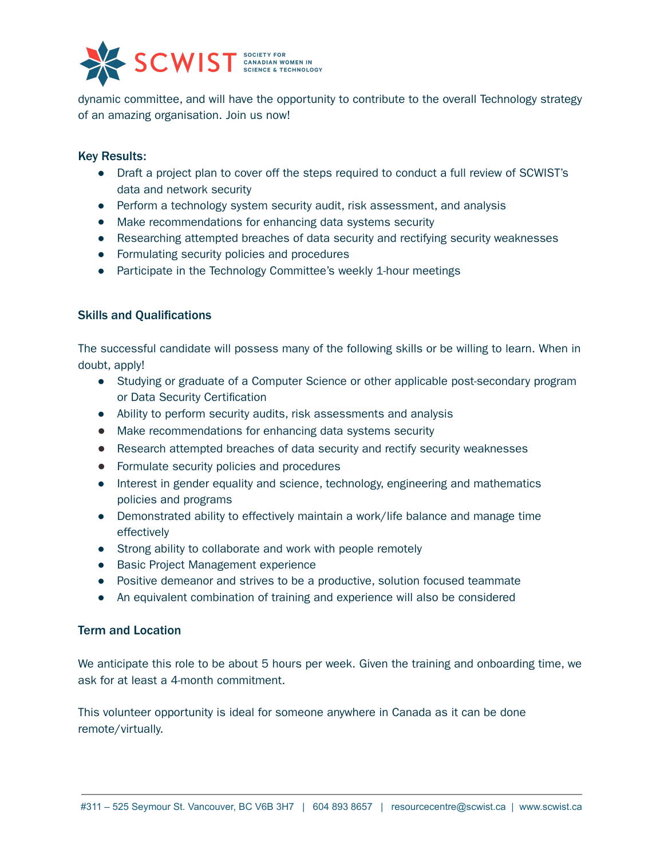

dynamic committee, and will have the opportunity to contribute to the overall Technology strategy of an amazing organisation. Join us now!

### Key Results:

- Draft a project plan to cover off the steps required to conduct a full review of SCWIST's data and network security
- Perform a technology system security audit, risk assessment, and analysis
- Make recommendations for enhancing data systems security
- Researching attempted breaches of data security and rectifying security weaknesses
- Formulating security policies and procedures
- Participate in the Technology Committee's weekly 1-hour meetings

### Skills and Qualifications

The successful candidate will possess many of the following skills or be willing to learn. When in doubt, apply!

- Studying or graduate of a Computer Science or other applicable post-secondary program or Data Security Certification
- Ability to perform security audits, risk assessments and analysis
- Make recommendations for enhancing data systems security
- Research attempted breaches of data security and rectify security weaknesses
- Formulate security policies and procedures
- Interest in gender equality and science, technology, engineering and mathematics policies and programs
- Demonstrated ability to effectively maintain a work/life balance and manage time effectively
- Strong ability to collaborate and work with people remotely
- Basic Project Management experience
- Positive demeanor and strives to be a productive, solution focused teammate
- An equivalent combination of training and experience will also be considered

#### Term and Location

We anticipate this role to be about 5 hours per week. Given the training and onboarding time, we ask for at least a 4-month commitment.

This volunteer opportunity is ideal for someone anywhere in Canada as it can be done remote/virtually.